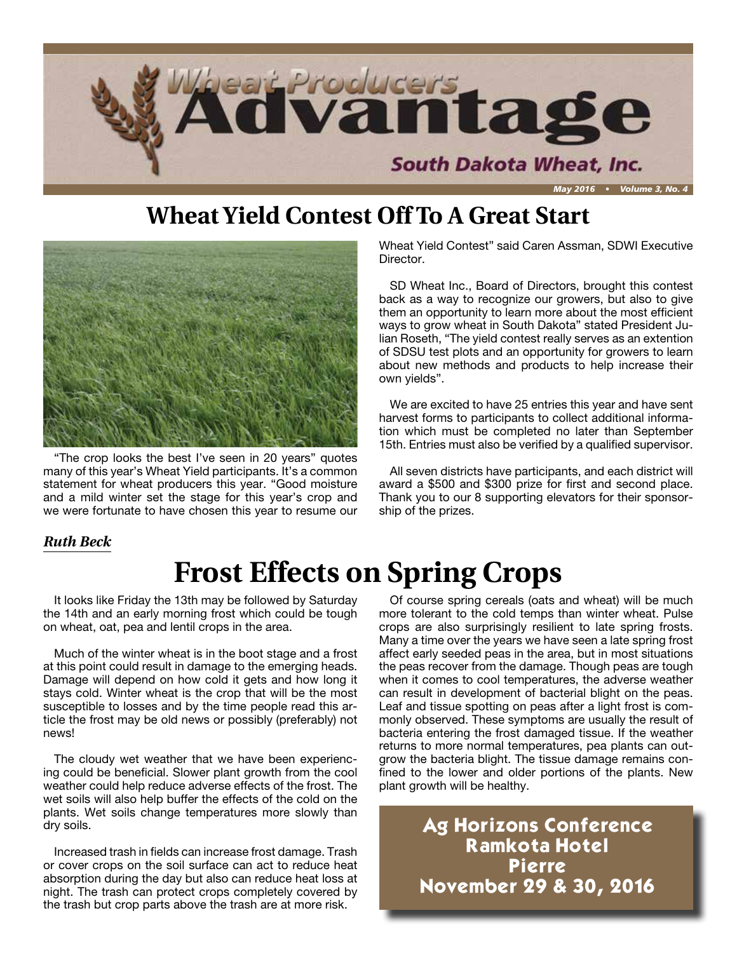

### **Wheat Yield Contest Off To A Great Start**



"The crop looks the best I've seen in 20 years" quotes many of this year's Wheat Yield participants. It's a common statement for wheat producers this year. "Good moisture and a mild winter set the stage for this year's crop and we were fortunate to have chosen this year to resume our

Wheat Yield Contest" said Caren Assman, SDWI Executive Director.

SD Wheat Inc., Board of Directors, brought this contest back as a way to recognize our growers, but also to give them an opportunity to learn more about the most efficient ways to grow wheat in South Dakota" stated President Julian Roseth, "The yield contest really serves as an extention of SDSU test plots and an opportunity for growers to learn about new methods and products to help increase their own yields".

We are excited to have 25 entries this year and have sent harvest forms to participants to collect additional information which must be completed no later than September 15th. Entries must also be verified by a qualified supervisor.

All seven districts have participants, and each district will award a \$500 and \$300 prize for first and second place. Thank you to our 8 supporting elevators for their sponsorship of the prizes.

#### *Ruth Beck*

### **Frost Effects on Spring Crops**

It looks like Friday the 13th may be followed by Saturday the 14th and an early morning frost which could be tough on wheat, oat, pea and lentil crops in the area.

Much of the winter wheat is in the boot stage and a frost at this point could result in damage to the emerging heads. Damage will depend on how cold it gets and how long it stays cold. Winter wheat is the crop that will be the most susceptible to losses and by the time people read this article the frost may be old news or possibly (preferably) not news!

The cloudy wet weather that we have been experiencing could be beneficial. Slower plant growth from the cool weather could help reduce adverse effects of the frost. The wet soils will also help buffer the effects of the cold on the plants. Wet soils change temperatures more slowly than dry soils.

Increased trash in fields can increase frost damage. Trash or cover crops on the soil surface can act to reduce heat absorption during the day but also can reduce heat loss at night. The trash can protect crops completely covered by the trash but crop parts above the trash are at more risk.

Of course spring cereals (oats and wheat) will be much more tolerant to the cold temps than winter wheat. Pulse crops are also surprisingly resilient to late spring frosts. Many a time over the years we have seen a late spring frost affect early seeded peas in the area, but in most situations the peas recover from the damage. Though peas are tough when it comes to cool temperatures, the adverse weather can result in development of bacterial blight on the peas. Leaf and tissue spotting on peas after a light frost is commonly observed. These symptoms are usually the result of bacteria entering the frost damaged tissue. If the weather returns to more normal temperatures, pea plants can outgrow the bacteria blight. The tissue damage remains confined to the lower and older portions of the plants. New plant growth will be healthy.

**Ag Horizons Conference Ramkota Hotel Pierre November 29 & 30, 2016**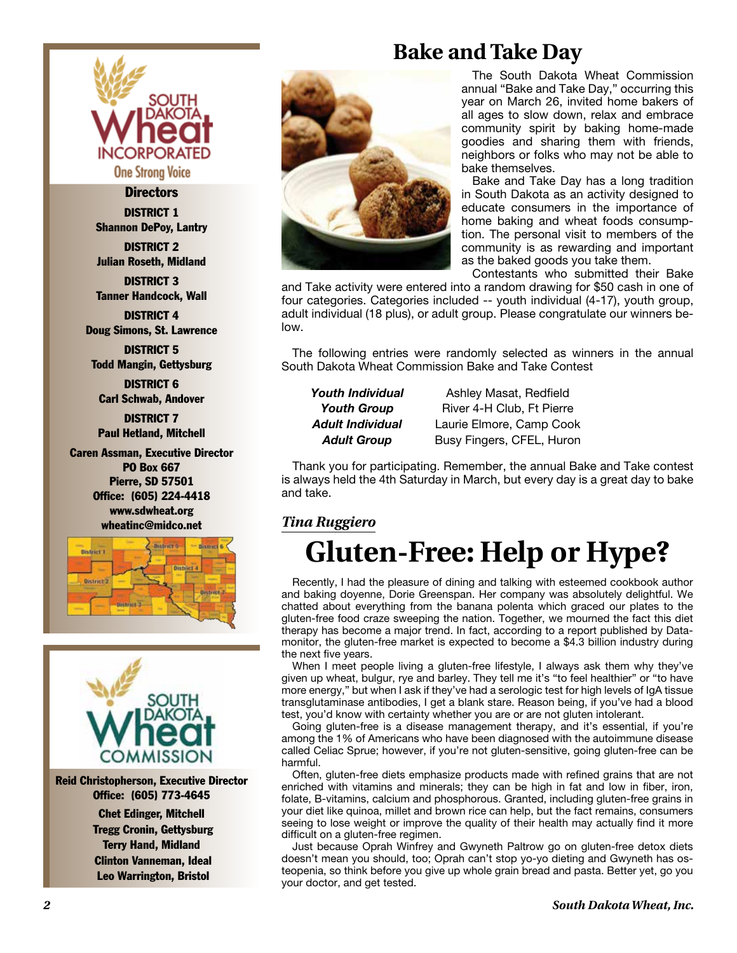

#### **Directors**

DISTRICT 1 Shannon DePoy, Lantry

DISTRICT 2 Julian Roseth, Midland

DISTRICT 3 Tanner Handcock, Wall

DISTRICT 4 Doug Simons, St. Lawrence

DISTRICT 5 Todd Mangin, Gettysburg

DISTRICT 6 Carl Schwab, Andover

DISTRICT 7 Paul Hetland, Mitchell

Caren Assman, Executive Director PO Box 667 Pierre, SD 57501 Office: (605) 224-4418 www.sdwheat.org wheatinc@midco.net





Reid Christopherson, Executive Director Office: (605) 773-4645 Chet Edinger, Mitchell Tregg Cronin, Gettysburg Terry Hand, Midland Clinton Vanneman, Ideal Leo Warrington, Bristol



### **Bake and Take Day**

The South Dakota Wheat Commission annual "Bake and Take Day," occurring this year on March 26, invited home bakers of all ages to slow down, relax and embrace community spirit by baking home-made goodies and sharing them with friends, neighbors or folks who may not be able to bake themselves.

Bake and Take Day has a long tradition in South Dakota as an activity designed to educate consumers in the importance of home baking and wheat foods consumption. The personal visit to members of the community is as rewarding and important as the baked goods you take them.

Contestants who submitted their Bake

and Take activity were entered into a random drawing for \$50 cash in one of four categories. Categories included -- youth individual (4-17), youth group, adult individual (18 plus), or adult group. Please congratulate our winners below.

The following entries were randomly selected as winners in the annual South Dakota Wheat Commission Bake and Take Contest

*Youth Individual* Ashley Masat, Redfield Youth Group **River 4-H Club, Ft Pierre** *Adult Individual* Laurie Elmore, Camp Cook **Adult Group** Busy Fingers, CFEL, Huron

Thank you for participating. Remember, the annual Bake and Take contest is always held the 4th Saturday in March, but every day is a great day to bake and take.

#### *Tina Ruggiero*

### **Gluten-Free: Help or Hype?**

Recently, I had the pleasure of dining and talking with esteemed cookbook author and baking doyenne, Dorie Greenspan. Her company was absolutely delightful. We chatted about everything from the banana polenta which graced our plates to the gluten-free food craze sweeping the nation. Together, we mourned the fact this diet therapy has become a major trend. In fact, according to a report published by Datamonitor, the gluten-free market is expected to become a \$4.3 billion industry during the next five years.

When I meet people living a gluten-free lifestyle, I always ask them why they've given up wheat, bulgur, rye and barley. They tell me it's "to feel healthier" or "to have more energy," but when I ask if they've had a serologic test for high levels of IgA tissue transglutaminase antibodies, I get a blank stare. Reason being, if you've had a blood test, you'd know with certainty whether you are or are not gluten intolerant.

Going gluten-free is a disease management therapy, and it's essential, if you're among the 1% of Americans who have been diagnosed with the autoimmune disease called Celiac Sprue; however, if you're not gluten-sensitive, going gluten-free can be harmful.

Often, gluten-free diets emphasize products made with refined grains that are not enriched with vitamins and minerals; they can be high in fat and low in fiber, iron, folate, B-vitamins, calcium and phosphorous. Granted, including gluten-free grains in your diet like quinoa, millet and brown rice can help, but the fact remains, consumers seeing to lose weight or improve the quality of their health may actually find it more difficult on a gluten-free regimen.

Just because Oprah Winfrey and Gwyneth Paltrow go on gluten-free detox diets doesn't mean you should, too; Oprah can't stop yo-yo dieting and Gwyneth has osteopenia, so think before you give up whole grain bread and pasta. Better yet, go you your doctor, and get tested.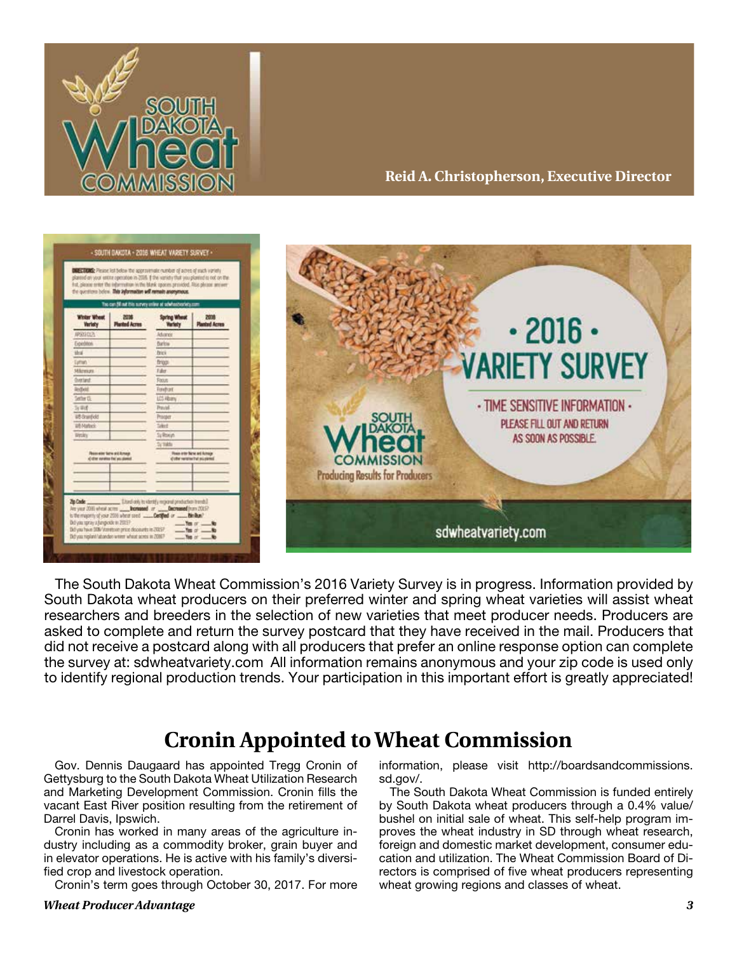

#### **Reid A. Christopherson, Executive Director**



The South Dakota Wheat Commission's 2016 Variety Survey is in progress. Information provided by South Dakota wheat producers on their preferred winter and spring wheat varieties will assist wheat researchers and breeders in the selection of new varieties that meet producer needs. Producers are asked to complete and return the survey postcard that they have received in the mail. Producers that did not receive a postcard along with all producers that prefer an online response option can complete the survey at: sdwheatvariety.com All information remains anonymous and your zip code is used only to identify regional production trends. Your participation in this important effort is greatly appreciated!

### **Cronin Appointed to Wheat Commission**

Gov. Dennis Daugaard has appointed Tregg Cronin of Gettysburg to the South Dakota Wheat Utilization Research and Marketing Development Commission. Cronin fills the vacant East River position resulting from the retirement of Darrel Davis, Ipswich.

Cronin has worked in many areas of the agriculture industry including as a commodity broker, grain buyer and in elevator operations. He is active with his family's diversified crop and livestock operation.

Cronin's term goes through October 30, 2017. For more

#### *Wheat Producer Advantage 3*

information, please visit http://boardsandcommissions. sd.gov/.

The South Dakota Wheat Commission is funded entirely by South Dakota wheat producers through a 0.4% value/ bushel on initial sale of wheat. This self-help program improves the wheat industry in SD through wheat research, foreign and domestic market development, consumer education and utilization. The Wheat Commission Board of Directors is comprised of five wheat producers representing wheat growing regions and classes of wheat.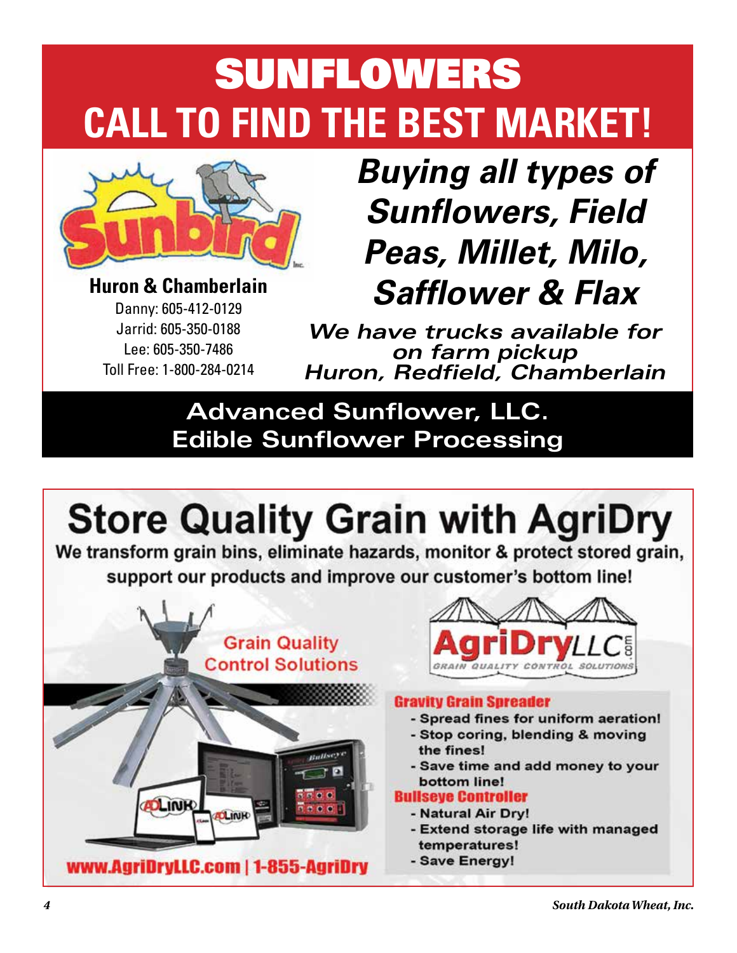# SUNFLOWERS **CALL TO FIND THE BEST MARKET!**



**Huron & Chamberlain** Danny: 605-412-0129 Jarrid: 605-350-0188 Lee: 605-350-7486 Toll Free: 1-800-284-0214

*Buying all types of Sunflowers, Field Peas, Millet, Milo, Safflower & Flax*

*We have trucks available for on farm pickup Huron, Redfield, Chamberlain*

### **Advanced Sunflower, LLC. Edible Sunflower Processing**

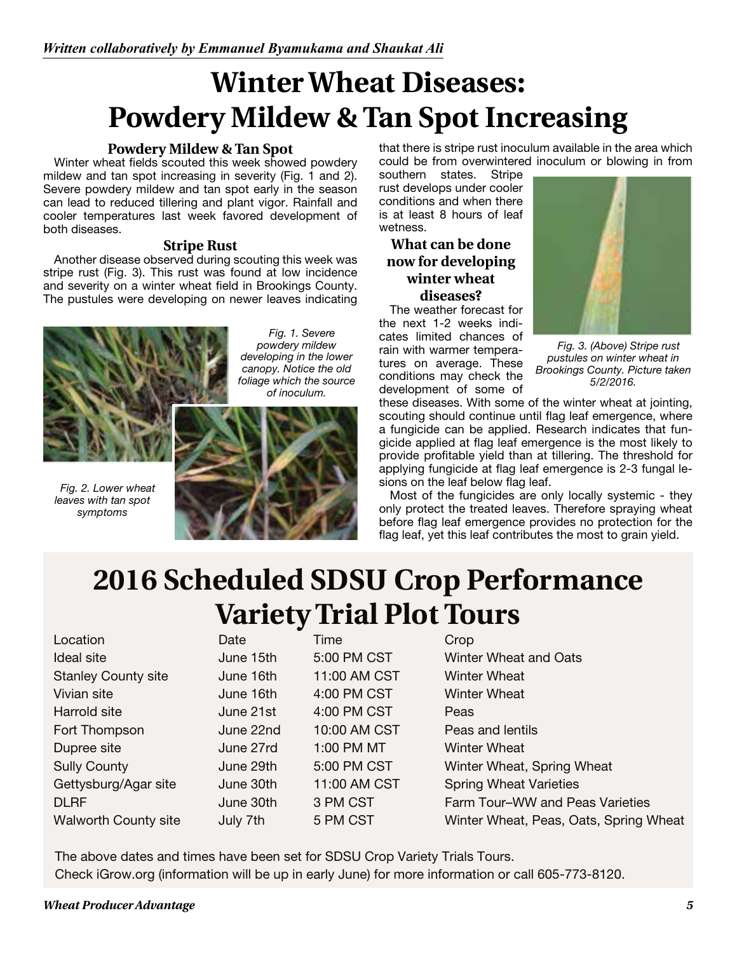# **Winter Wheat Diseases: Powdery Mildew & Tan Spot Increasing**

#### **Powdery Mildew & Tan Spot**

Winter wheat fields scouted this week showed powdery mildew and tan spot increasing in severity (Fig. 1 and 2). Severe powdery mildew and tan spot early in the season can lead to reduced tillering and plant vigor. Rainfall and cooler temperatures last week favored development of both diseases.

#### **Stripe Rust**

Another disease observed during scouting this week was stripe rust (Fig. 3). This rust was found at low incidence and severity on a winter wheat field in Brookings County. The pustules were developing on newer leaves indicating



*Fig. 1. Severe powdery mildew developing in the lower canopy. Notice the old foliage which the source of inoculum.*

*Fig. 2. Lower wheat leaves with tan spot symptoms*



that there is stripe rust inoculum available in the area which could be from overwintered inoculum or blowing in from

southern states. Stripe rust develops under cooler conditions and when there is at least 8 hours of leaf wetness.

#### **What can be done now for developing winter wheat diseases?**

The weather forecast for the next 1-2 weeks indicates limited chances of rain with warmer temperatures on average. These conditions may check the development of some of



*Fig. 3. (Above) Stripe rust pustules on winter wheat in Brookings County. Picture taken 5/2/2016.*

these diseases. With some of the winter wheat at jointing, scouting should continue until flag leaf emergence, where a fungicide can be applied. Research indicates that fungicide applied at flag leaf emergence is the most likely to provide profitable yield than at tillering. The threshold for applying fungicide at flag leaf emergence is 2-3 fungal lesions on the leaf below flag leaf.

Most of the fungicides are only locally systemic - they only protect the treated leaves. Therefore spraying wheat before flag leaf emergence provides no protection for the flag leaf, yet this leaf contributes the most to grain yield.

# **2016 Scheduled SDSU Crop Performance Variety Trial Plot Tours**

Location **Date** Date Time Crop Ideal site June 15th 5:00 PM CST Winter Wheat and Oats Stanley County site June 16th 11:00 AM CST Winter Wheat Vivian site **June 16th** 4:00 PM CST Winter Wheat Harrold site June 21st 4:00 PM CST Peas Fort Thompson June 22nd 10:00 AM CST Peas and lentils Dupree site June 27rd 1:00 PM MT Winter Wheat Sully County **Sully County June 29th** 5:00 PM CST Winter Wheat, Spring Wheat Gettysburg/Agar site June 30th 11:00 AM CST Spring Wheat Varieties DLRF June 30th 3 PM CST Farm Tour–WW and Peas Varieties Walworth County site July 7th 5 PM CST Winter Wheat, Peas, Oats, Spring Wheat

The above dates and times have been set for SDSU Crop Variety Trials Tours. Check iGrow.org (information will be up in early June) for more information or call 605-773-8120.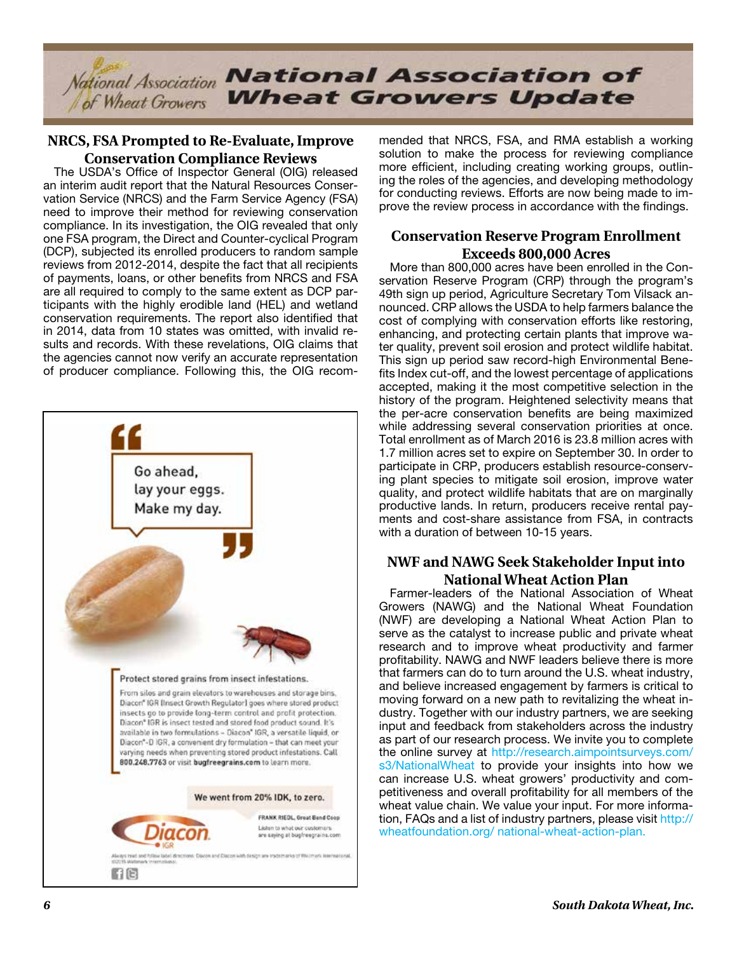

#### **NRCS, FSA Prompted to Re-Evaluate, Improve Conservation Compliance Reviews**

The USDA's Office of Inspector General (OIG) released an interim audit report that the Natural Resources Conservation Service (NRCS) and the Farm Service Agency (FSA) need to improve their method for reviewing conservation compliance. In its investigation, the OIG revealed that only one FSA program, the Direct and Counter-cyclical Program (DCP), subjected its enrolled producers to random sample reviews from 2012-2014, despite the fact that all recipients of payments, loans, or other benefits from NRCS and FSA are all required to comply to the same extent as DCP participants with the highly erodible land (HEL) and wetland conservation requirements. The report also identified that in 2014, data from 10 states was omitted, with invalid results and records. With these revelations, OIG claims that the agencies cannot now verify an accurate representation of producer compliance. Following this, the OIG recom-



mended that NRCS, FSA, and RMA establish a working solution to make the process for reviewing compliance more efficient, including creating working groups, outlining the roles of the agencies, and developing methodology for conducting reviews. Efforts are now being made to improve the review process in accordance with the findings.

#### **Conservation Reserve Program Enrollment Exceeds 800,000 Acres**

More than 800,000 acres have been enrolled in the Conservation Reserve Program (CRP) through the program's 49th sign up period, Agriculture Secretary Tom Vilsack announced. CRP allows the USDA to help farmers balance the cost of complying with conservation efforts like restoring, enhancing, and protecting certain plants that improve water quality, prevent soil erosion and protect wildlife habitat. This sign up period saw record-high Environmental Benefits Index cut-off, and the lowest percentage of applications accepted, making it the most competitive selection in the history of the program. Heightened selectivity means that the per-acre conservation benefits are being maximized while addressing several conservation priorities at once. Total enrollment as of March 2016 is 23.8 million acres with 1.7 million acres set to expire on September 30. In order to participate in CRP, producers establish resource-conserving plant species to mitigate soil erosion, improve water quality, and protect wildlife habitats that are on marginally productive lands. In return, producers receive rental payments and cost-share assistance from FSA, in contracts with a duration of between 10-15 years.

#### **NWF and NAWG Seek Stakeholder Input into National Wheat Action Plan**

Farmer-leaders of the National Association of Wheat Growers (NAWG) and the National Wheat Foundation (NWF) are developing a National Wheat Action Plan to serve as the catalyst to increase public and private wheat research and to improve wheat productivity and farmer profitability. NAWG and NWF leaders believe there is more that farmers can do to turn around the U.S. wheat industry, and believe increased engagement by farmers is critical to moving forward on a new path to revitalizing the wheat industry. Together with our industry partners, we are seeking input and feedback from stakeholders across the industry as part of our research process. We invite you to complete the online survey at http://research.aimpointsurveys.com/ s3/NationalWheat to provide your insights into how we can increase U.S. wheat growers' productivity and competitiveness and overall profitability for all members of the wheat value chain. We value your input. For more information, FAQs and a list of industry partners, please visit http:// wheatfoundation.org/ national-wheat-action-plan.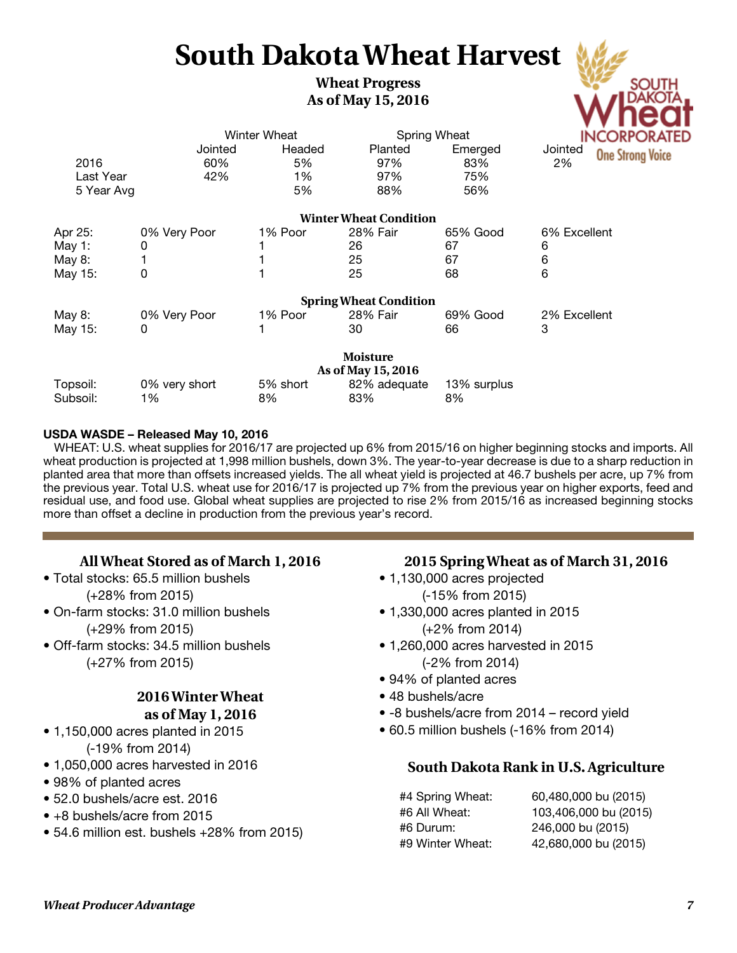# **South Dakota Wheat Harvest**

#### **Wheat Progress As of May 15, 2016**



#### **USDA WASDE – Released May 10, 2016**

WHEAT: U.S. wheat supplies for 2016/17 are projected up 6% from 2015/16 on higher beginning stocks and imports. All wheat production is projected at 1,998 million bushels, down 3%. The year-to-year decrease is due to a sharp reduction in planted area that more than offsets increased yields. The all wheat yield is projected at 46.7 bushels per acre, up 7% from the previous year. Total U.S. wheat use for 2016/17 is projected up 7% from the previous year on higher exports, feed and residual use, and food use. Global wheat supplies are projected to rise 2% from 2015/16 as increased beginning stocks more than offset a decline in production from the previous year's record.

#### **All Wheat Stored as of March 1, 2016**

• Total stocks: 65.5 million bushels

(+28% from 2015)

- On-farm stocks: 31.0 million bushels (+29% from 2015)
- Off-farm stocks: 34.5 million bushels (+27% from 2015)

#### **2016 Winter Wheat as of May 1, 2016**

- 1,150,000 acres planted in 2015 (-19% from 2014)
- 1,050,000 acres harvested in 2016
- 98% of planted acres
- 52.0 bushels/acre est. 2016
- +8 bushels/acre from 2015
- 54.6 million est. bushels +28% from 2015)

#### **2015 Spring Wheat as of March 31, 2016**

- 1,130,000 acres projected (-15% from 2015)
- 1,330,000 acres planted in 2015 (+2% from 2014)
- 1,260,000 acres harvested in 2015 (-2% from 2014)
- 94% of planted acres
- 48 bushels/acre
- -8 bushels/acre from 2014 record yield
- 60.5 million bushels (-16% from 2014)

#### **South Dakota Rank in U.S. Agriculture**

#4 Spring Wheat: 60,480,000 bu (2015) #6 All Wheat: 103,406,000 bu (2015) #6 Durum: 246,000 bu (2015) #9 Winter Wheat: 42,680,000 bu (2015)

South